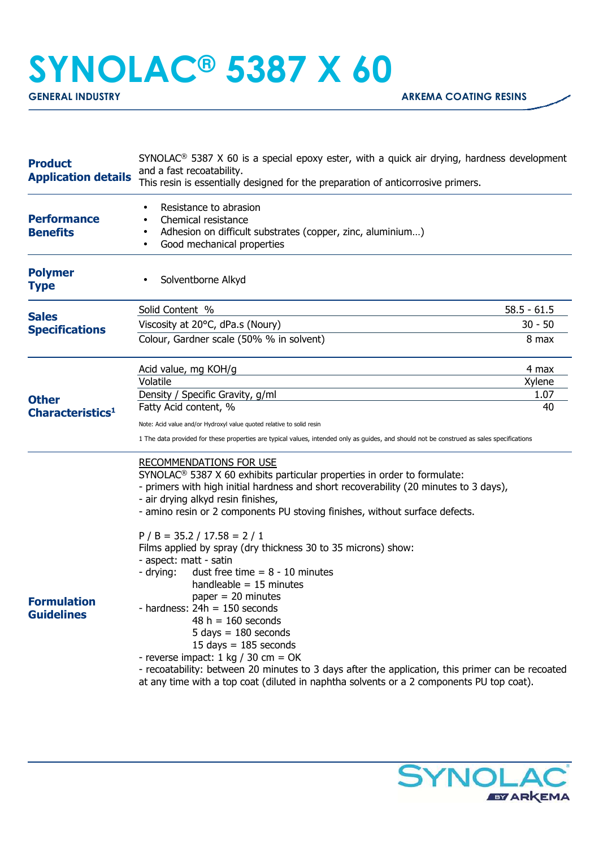## **SYNOLAC® 5387 X 60**

| <b>Product</b><br><b>Application details</b>                            | $SYNOLAC®$ 5387 X 60 is a special epoxy ester, with a quick air drying, hardness development<br>and a fast recoatability.<br>This resin is essentially designed for the preparation of anticorrosive primers.   |               |  |
|-------------------------------------------------------------------------|-----------------------------------------------------------------------------------------------------------------------------------------------------------------------------------------------------------------|---------------|--|
| <b>Performance</b><br><b>Benefits</b>                                   | Resistance to abrasion<br>Chemical resistance<br>Adhesion on difficult substrates (copper, zinc, aluminium)<br>Good mechanical properties                                                                       |               |  |
| <b>Polymer</b><br><b>Type</b>                                           | Solventborne Alkyd                                                                                                                                                                                              |               |  |
| <b>Sales</b><br><b>Specifications</b>                                   | Solid Content %                                                                                                                                                                                                 | $58.5 - 61.5$ |  |
|                                                                         | Viscosity at 20°C, dPa.s (Noury)                                                                                                                                                                                | $30 - 50$     |  |
|                                                                         | Colour, Gardner scale (50% % in solvent)                                                                                                                                                                        | 8 max         |  |
|                                                                         | Acid value, mg KOH/g                                                                                                                                                                                            | 4 max         |  |
|                                                                         | Volatile                                                                                                                                                                                                        | Xylene        |  |
| <b>Other</b>                                                            | Density / Specific Gravity, g/ml                                                                                                                                                                                | 1.07          |  |
| Characteristics <sup>1</sup><br><b>Formulation</b><br><b>Guidelines</b> | Fatty Acid content, %                                                                                                                                                                                           | 40            |  |
|                                                                         | Note: Acid value and/or Hydroxyl value quoted relative to solid resin                                                                                                                                           |               |  |
|                                                                         | 1 The data provided for these properties are typical values, intended only as guides, and should not be construed as sales specifications                                                                       |               |  |
|                                                                         | <b>RECOMMENDATIONS FOR USE</b><br>SYNOLAC <sup>®</sup> 5387 X 60 exhibits particular properties in order to formulate:<br>- primers with high initial hardness and short recoverability (20 minutes to 3 days), |               |  |
|                                                                         | - air drying alkyd resin finishes,                                                                                                                                                                              |               |  |
|                                                                         | - amino resin or 2 components PU stoving finishes, without surface defects.                                                                                                                                     |               |  |
|                                                                         | $P / B = 35.2 / 17.58 = 2 / 1$                                                                                                                                                                                  |               |  |
|                                                                         | Films applied by spray (dry thickness 30 to 35 microns) show:                                                                                                                                                   |               |  |
|                                                                         | - aspect: matt - satin                                                                                                                                                                                          |               |  |
|                                                                         | - drying:<br>dust free time $= 8 - 10$ minutes                                                                                                                                                                  |               |  |
|                                                                         | handleable $= 15$ minutes<br>paper $= 20$ minutes                                                                                                                                                               |               |  |
|                                                                         | - hardness: $24h = 150$ seconds                                                                                                                                                                                 |               |  |
|                                                                         | $48 h = 160$ seconds                                                                                                                                                                                            |               |  |
|                                                                         | $5 \text{ days} = 180 \text{ seconds}$                                                                                                                                                                          |               |  |
|                                                                         | 15 days $= 185$ seconds                                                                                                                                                                                         |               |  |
|                                                                         | - reverse impact: $1 \text{ kg} / 30 \text{ cm} = \text{OK}$                                                                                                                                                    |               |  |
|                                                                         | - recoatability: between 20 minutes to 3 days after the application, this primer can be recoated                                                                                                                |               |  |
|                                                                         | at any time with a top coat (diluted in naphtha solvents or a 2 components PU top coat).                                                                                                                        |               |  |